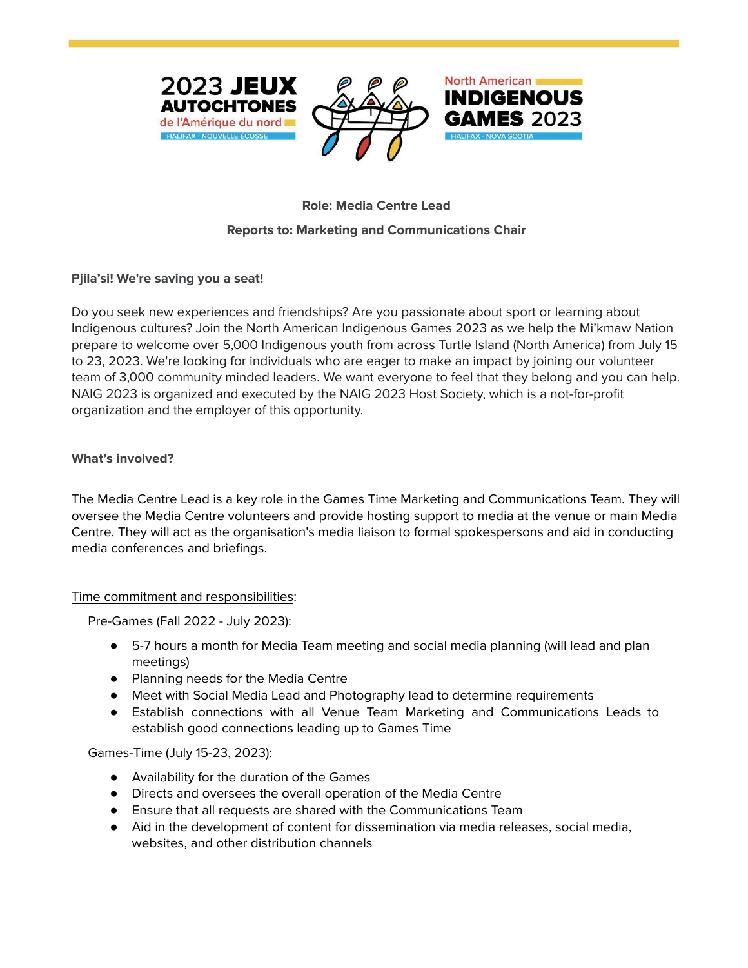



# **INDIGENOUS**

North American

# **Role: Media Centre Lead**

### **Reports to: Marketing and Communications Chair**

## **Pjila'si! We're saving you a seat!**

Do you seek new experiences and friendships? Are you passionate about sport or learning about Indigenous cultures? Join the North American Indigenous Games 2023 as we help the Mi'kmaw Nation prepare to welcome over 5,000 Indigenous youth from across Turtle Island (North America) from July 15 to 23, 2023. We're looking for individuals who are eager to make an impact by joining our volunteer team of 3,000 community minded leaders. We want everyone to feel that they belong and you can help. NAIG 2023 is organized and executed by the NAIG 2023 Host Society, which is a not-for-profit organization and the employer of this opportunity.

#### **What's involved?**

The Media Centre Lead is a key role in the Games Time Marketing and Communications Team. They will oversee the Media Centre volunteers and provide hosting support to media at the venue or main Media Centre. They will act as the organisation's media liaison to formal spokespersons and aid in conducting media conferences and briefings.

#### Time commitment and responsibilities:

Pre-Games (Fall 2022 - July 2023):

- 5-7 hours a month for Media Team meeting and social media planning (will lead and plan meetings)
- Planning needs for the Media Centre
- Meet with Social Media Lead and Photography lead to determine requirements
- Establish connections with all Venue Team Marketing and Communications Leads to establish good connections leading up to Games Time

Games-Time (July 15-23, 2023):

- Availability for the duration of the Games
- Directs and oversees the overall operation of the Media Centre
- Ensure that all requests are shared with the Communications Team
- Aid in the development of content for dissemination via media releases, social media, websites, and other distribution channels